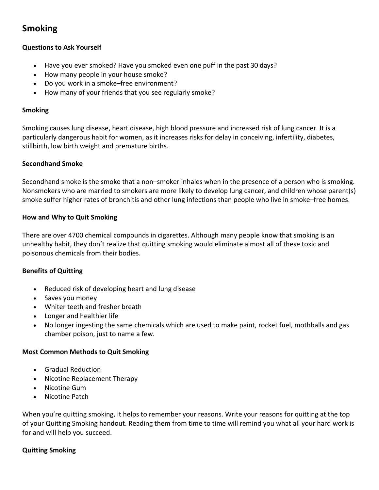# **Smoking**

# **Questions to Ask Yourself**

- Have you ever smoked? Have you smoked even one puff in the past 30 days?
- How many people in your house smoke?
- Do you work in a smoke–free environment?
- How many of your friends that you see regularly smoke?

## **Smoking**

Smoking causes lung disease, heart disease, high blood pressure and increased risk of lung cancer. It is a particularly dangerous habit for women, as it increases risks for delay in conceiving, infertility, diabetes, stillbirth, low birth weight and premature births.

# **Secondhand Smoke**

Secondhand smoke is the smoke that a non–smoker inhales when in the presence of a person who is smoking. Nonsmokers who are married to smokers are more likely to develop lung cancer, and children whose parent(s) smoke suffer higher rates of bronchitis and other lung infections than people who live in smoke–free homes.

## **How and Why to Quit Smoking**

There are over 4700 chemical compounds in cigarettes. Although many people know that smoking is an unhealthy habit, they don't realize that quitting smoking would eliminate almost all of these toxic and poisonous chemicals from their bodies.

# **Benefits of Quitting**

- Reduced risk of developing heart and lung disease
- Saves you money
- Whiter teeth and fresher breath
- Longer and healthier life
- No longer ingesting the same chemicals which are used to make paint, rocket fuel, mothballs and gas chamber poison, just to name a few.

# **Most Common Methods to Quit Smoking**

- Gradual Reduction
- Nicotine Replacement Therapy
- Nicotine Gum
- Nicotine Patch

When you're quitting smoking, it helps to remember your reasons. Write your reasons for quitting at the top of your Quitting Smoking handout. Reading them from time to time will remind you what all your hard work is for and will help you succeed.

# **Quitting Smoking**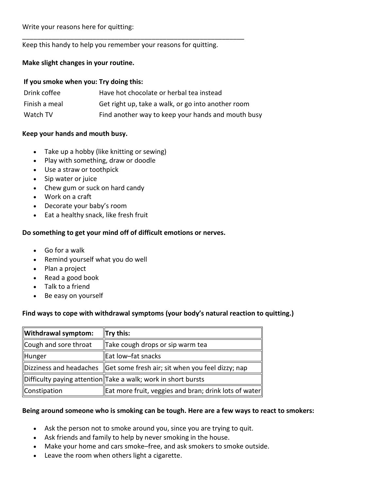Write your reasons here for quitting:

Keep this handy to help you remember your reasons for quitting.

\_\_\_\_\_\_\_\_\_\_\_\_\_\_\_\_\_\_\_\_\_\_\_\_\_\_\_\_\_\_\_\_\_\_\_\_\_\_\_\_\_\_\_\_\_\_\_\_\_\_\_\_\_\_\_\_\_\_\_\_

#### **Make slight changes in your routine.**

#### **If you smoke when you: Try doing this:**

| Drink coffee  | Have hot chocolate or herbal tea instead           |
|---------------|----------------------------------------------------|
| Finish a meal | Get right up, take a walk, or go into another room |
| Watch TV      | Find another way to keep your hands and mouth busy |

#### **Keep your hands and mouth busy.**

- Take up a hobby (like knitting or sewing)
- Play with something, draw or doodle
- Use a straw or toothpick
- Sip water or juice
- Chew gum or suck on hard candy
- Work on a craft
- Decorate your baby's room
- Eat a healthy snack, like fresh fruit

# **Do something to get your mind off of difficult emotions or nerves.**

- Go for a walk
- Remind yourself what you do well
- Plan a project
- Read a good book
- Talk to a friend
- Be easy on yourself

# **Find ways to cope with withdrawal symptoms (your body's natural reaction to quitting.)**

| Withdrawal symptom:   | $\ $ Try this:                                                                |
|-----------------------|-------------------------------------------------------------------------------|
| Cough and sore throat | Take cough drops or sip warm tea                                              |
| Hunger                | Eat low-fat snacks                                                            |
|                       | Dizziness and headaches $\ $ Get some fresh air; sit when you feel dizzy; nap |
|                       | Difficulty paying attention Take a walk; work in short bursts                 |
| Constipation          | Eat more fruit, veggies and bran; drink lots of water                         |

# **Being around someone who is smoking can be tough. Here are a few ways to react to smokers:**

- Ask the person not to smoke around you, since you are trying to quit.
- Ask friends and family to help by never smoking in the house.
- Make your home and cars smoke–free, and ask smokers to smoke outside.
- Leave the room when others light a cigarette.